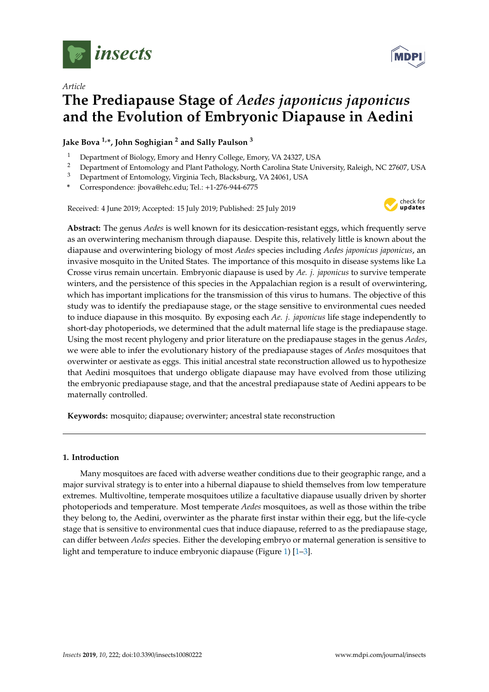

*Article*

# **The Prediapause Stage of** *Aedes japonicus japonicus* **and the Evolution of Embryonic Diapause in Aedini**

**Jake Bova 1,\*, John Soghigian <sup>2</sup> and Sally Paulson <sup>3</sup>**

- <sup>1</sup> Department of Biology, Emory and Henry College, Emory, VA 24327, USA<br><sup>2</sup> Department of Entomology and Plant Pathology North Carolina State Uni
- <sup>2</sup> Department of Entomology and Plant Pathology, North Carolina State University, Raleigh, NC 27607, USA<br><sup>3</sup> Department of Entomology, Virginia Toch, Blacksburg, VA 24061, USA
- <sup>3</sup> Department of Entomology, Virginia Tech, Blacksburg, VA 24061, USA
- **\*** Correspondence: jbova@ehc.edu; Tel.: +1-276-944-6775

Received: 4 June 2019; Accepted: 15 July 2019; Published: 25 July 2019



**Abstract:** The genus *Aedes* is well known for its desiccation-resistant eggs, which frequently serve as an overwintering mechanism through diapause. Despite this, relatively little is known about the diapause and overwintering biology of most *Aedes* species including *Aedes japonicus japonicus*, an invasive mosquito in the United States. The importance of this mosquito in disease systems like La Crosse virus remain uncertain. Embryonic diapause is used by *Ae. j. japonicus* to survive temperate winters, and the persistence of this species in the Appalachian region is a result of overwintering, which has important implications for the transmission of this virus to humans. The objective of this study was to identify the prediapause stage, or the stage sensitive to environmental cues needed to induce diapause in this mosquito. By exposing each *Ae. j. japonicus* life stage independently to short-day photoperiods, we determined that the adult maternal life stage is the prediapause stage. Using the most recent phylogeny and prior literature on the prediapause stages in the genus *Aedes*, we were able to infer the evolutionary history of the prediapause stages of *Aedes* mosquitoes that overwinter or aestivate as eggs. This initial ancestral state reconstruction allowed us to hypothesize that Aedini mosquitoes that undergo obligate diapause may have evolved from those utilizing the embryonic prediapause stage, and that the ancestral prediapause state of Aedini appears to be maternally controlled.

**Keywords:** mosquito; diapause; overwinter; ancestral state reconstruction

## **1. Introduction**

Many mosquitoes are faced with adverse weather conditions due to their geographic range, and a major survival strategy is to enter into a hibernal diapause to shield themselves from low temperature extremes. Multivoltine, temperate mosquitoes utilize a facultative diapause usually driven by shorter photoperiods and temperature. Most temperate *Aedes* mosquitoes, as well as those within the tribe they belong to, the Aedini, overwinter as the pharate first instar within their egg, but the life-cycle stage that is sensitive to environmental cues that induce diapause, referred to as the prediapause stage, can differ between *Aedes* species. Either the developing embryo or maternal generation is sensitive to light and temperature to induce embryonic diapause (Figure [1\)](#page-1-0) [\[1–](#page-6-0)[3\]](#page-6-1).

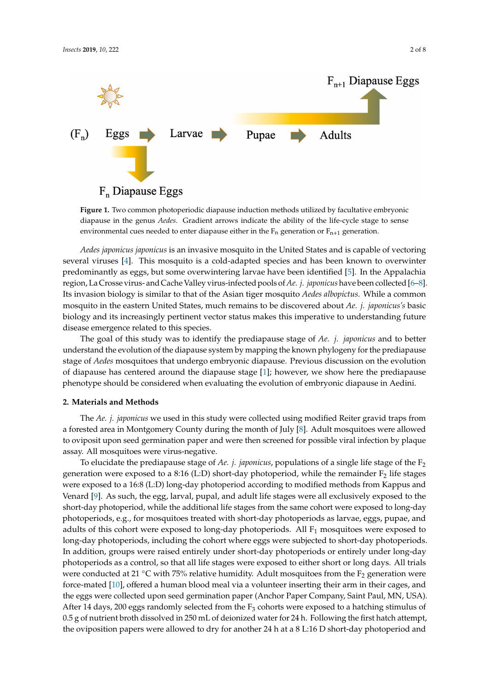<span id="page-1-0"></span>

diapause in the genus *Aedes*. Gradient arrows indicate the ability of the life-cycle stage to sense environmental cues needed to enter diapause either in the  $F_n$  generation or  $F_{n+1}$  generation. environmental cues needed to enter diapause either in the Fn generation or Fn+1 generation. **Figure 1.** Two common photoperiodic diapause induction methods utilized by facultative embryonic

several viruses [\[4\]](#page-6-2). This mosquito is a cold-adapted species and has been known to overwinter predominantly as eggs, but some overwintering larvae have been identified [\[5\]](#page-6-3). In the Appalachia -<br>region, La Crosse virus- and Cache Valley virus-infected pools of *Ae. j. japonicus* have been collected [\[6–](#page-6-4)[8\]](#page-6-5). Its invasion biology is similar to that of the Asian tiger mosquito *Aedes albopictus*. While a common mosquito in the eastern United States, much remains to be discovered about *Ae. j. japonicus's* basic biology and its increasingly pertinent vector status makes this imperative to understanding future disease emergence related to this species. *Aedes japonicus japonicus* is an invasive mosquito in the United States and is capable of vectoring

The goal of this study was to identify the prediapause stage of *Ae. j. japonicus* and to better understand the evolution of the diapause system by mapping the known phylogeny for the prediapause stage of *Aedes* mosquitoes that undergo embryonic diapause. Previous discussion on the evolution of diapause has centered around the diapause stage [\[1\]](#page-6-0); however, we show here the prediapause phenotype should be considered when evaluating the evolution of embryonic diapause in Aedini.

### 2. Materials and Methods

**2. Materials and Methods**  a forested area in Montgomery County during the month of July [\[8\]](#page-6-5). Adult mosquitoes were allowed to oviposit upon seed germination paper and were then screened for possible viral infection by plaque assay. All mosquitoes were virus-negative. The *Ae. j. japonicus* we used in this study were collected using modified Reiter gravid traps from

To elucidate the prediapause stage of *Ae. j. japonicus*, populations of a single life stage of the  $F_2$ generation were exposed to a 8:16 (L:D) short-day photoperiod, while the remainder  $F_2$  life stages were exposed to a 16:8 (L:D) long-day photoperiod according to modified methods from Kappus and Venard [9]. As such, the egg, larval, pupal, and adult life stages were all exclusively exposed to the short-day photoperiod, while the additional life stages from the same cohort were exposed to long-day photoperiods, e.g., for mosquitoes treated with short-day photoperiods as larvae, eggs, pupae, and adults of this cohort were exposed to long-day photoperiods. All  $F_1$  mosquitoes were exposed to long-day photoperiods, including the cohort where eggs were subjected to short-day photoperiods. In addition, groups were raised entirely under short-day photoperiods or entirely under long-day photoperiods as a control, so that all life stages were exposed to either short or long days. All trials were conducted at 21 °C with 75% relative humidity. Adult mosquitoes from the F<sub>2</sub> generation were force-mated [10], offered a human blood meal via a volunteer inserting their arm in their cages, and the eggs were collected upon seed germination paper (Anchor Paper Company, Saint Paul, MN, USA). After 14 days, 200 eggs randomly selected from the  $F_3$  cohorts were exposed to a hatching stimulus of 0.5 g of nutrient broth dissolved in 250 mL of deionized water for 24 h. Following the first hatch attempt, the oviposition papers were allowed to dry for another 24 h at a 8 L:16 D short-day photoperiod and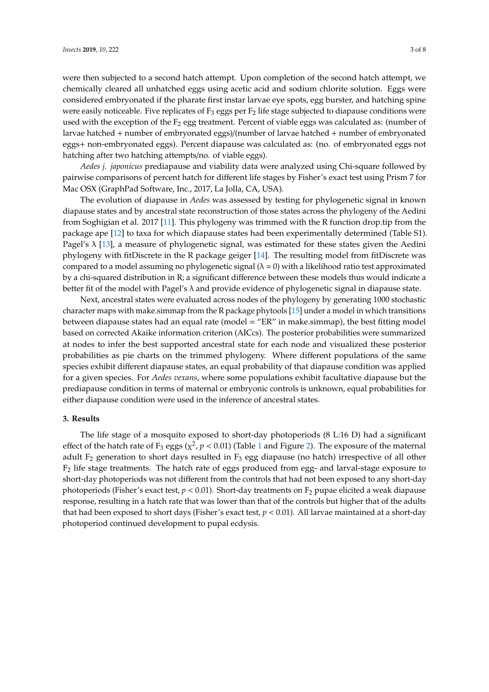were then subjected to a second hatch attempt. Upon completion of the second hatch attempt, we chemically cleared all unhatched eggs using acetic acid and sodium chlorite solution. Eggs were considered embryonated if the pharate first instar larvae eye spots, egg burster, and hatching spine were easily noticeable. Five replicates of  $F_3$  eggs per  $F_2$  life stage subjected to diapause conditions were used with the exception of the  $F_2$  egg treatment. Percent of viable eggs was calculated as: (number of larvae hatched + number of embryonated eggs)/(number of larvae hatched + number of embryonated eggs+ non-embryonated eggs). Percent diapause was calculated as: (no. of embryonated eggs not hatching after two hatching attempts/no. of viable eggs).

*Aedes j. japonicus* prediapause and viability data were analyzed using Chi-square followed by pairwise comparisons of percent hatch for different life stages by Fisher's exact test using Prism 7 for Mac OSX (GraphPad Software, Inc., 2017, La Jolla, CA, USA).

The evolution of diapause in *Aedes* was assessed by testing for phylogenetic signal in known diapause states and by ancestral state reconstruction of those states across the phylogeny of the Aedini from Soghigian et al. 2017 [\[11\]](#page-6-8). This phylogeny was trimmed with the R function drop.tip from the package ape [\[12\]](#page-6-9) to taxa for which diapause states had been experimentally determined (Table S1). Pagel's  $\lambda$  [\[13\]](#page-6-10), a measure of phylogenetic signal, was estimated for these states given the Aedini phylogeny with fitDiscrete in the R package geiger [\[14\]](#page-6-11). The resulting model from fitDiscrete was compared to a model assuming no phylogenetic signal  $(\lambda = 0)$  with a likelihood ratio test approximated by a chi-squared distribution in R; a significant difference between these models thus would indicate a better fit of the model with Pagel's  $\lambda$  and provide evidence of phylogenetic signal in diapause state.

Next, ancestral states were evaluated across nodes of the phylogeny by generating 1000 stochastic character maps with make.simmap from the R package phytools [\[15\]](#page-6-12) under a model in which transitions between diapause states had an equal rate (model = "ER" in make.simmap), the best fitting model based on corrected Akaike information criterion (AICcs). The posterior probabilities were summarized at nodes to infer the best supported ancestral state for each node and visualized these posterior probabilities as pie charts on the trimmed phylogeny. Where different populations of the same species exhibit different diapause states, an equal probability of that diapause condition was applied for a given species. For *Aedes vexans*, where some populations exhibit facultative diapause but the prediapause condition in terms of maternal or embryonic controls is unknown, equal probabilities for either diapause condition were used in the inference of ancestral states.

#### **3. Results**

The life stage of a mosquito exposed to short-day photoperiods (8 L:16 D) had a significant effect of the hatch rate of  $F_3$  eggs ( $\chi^2$ ,  $p < 0.01$  $p < 0.01$ ) (Table 1 and Figure [2\)](#page-3-1). The exposure of the maternal adult  $F_2$  generation to short days resulted in  $F_3$  egg diapause (no hatch) irrespective of all other F<sup>2</sup> life stage treatments. The hatch rate of eggs produced from egg- and larval-stage exposure to short-day photoperiods was not different from the controls that had not been exposed to any short-day photoperiods (Fisher's exact test,  $p < 0.01$ ). Short-day treatments on  $F<sub>2</sub>$  pupae elicited a weak diapause response, resulting in a hatch rate that was lower than that of the controls but higher that of the adults that had been exposed to short days (Fisher's exact test, *p* < 0.01). All larvae maintained at a short-day photoperiod continued development to pupal ecdysis.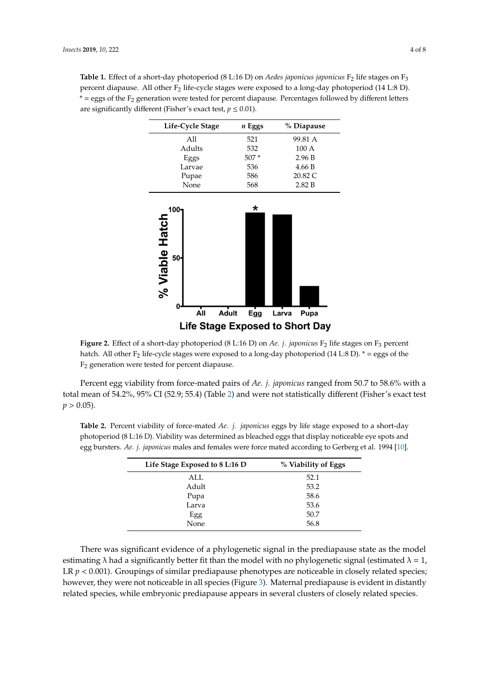<span id="page-3-0"></span>Table 1. Effect of a short-day photoperiod (8 L:16 D) on *Aedes japonicus japonicus* F<sub>2</sub> life stages on F<sub>3</sub> percent diapause. All other  $F_2$  life-cycle stages were exposed to a long-day photoperiod (14 L:8 D).  $\frac{1}{x}$  = eggs of the F<sub>2</sub> generation were tested for percent diapause. Percentages followed by different letters are significantly different (Fisher's exact test,  $p \leq 0.01$ ).

<span id="page-3-1"></span>

| All<br>521<br>99.81 A<br>Adults<br>100 A<br>532<br>$507*$<br>2.96B<br>Eggs<br>536<br>4.66 B<br>Larvae<br>586<br>20.82 C<br>Pupae<br>None<br>2.82 B<br>568<br>*<br>$100 -$<br>% Viable Hatch<br>$50-$<br>0<br>All<br><b>Adult</b><br>Egg<br>Larva<br>Pupa | Life-Cycle Stage | n Eggs | % Diapause |
|----------------------------------------------------------------------------------------------------------------------------------------------------------------------------------------------------------------------------------------------------------|------------------|--------|------------|
|                                                                                                                                                                                                                                                          |                  |        |            |
|                                                                                                                                                                                                                                                          |                  |        |            |
|                                                                                                                                                                                                                                                          |                  |        |            |
|                                                                                                                                                                                                                                                          |                  |        |            |
|                                                                                                                                                                                                                                                          |                  |        |            |
|                                                                                                                                                                                                                                                          |                  |        |            |
| Life Stage Exposed to Short Day                                                                                                                                                                                                                          |                  |        |            |

**Figure 2.** Effect of a short-day photoperiod (8 L:16 D) on Ae. *j. japonicus* F<sub>2</sub> life stages on F<sub>3</sub> percent hatch. All other  $\rm F_2$  life-cycle stages were exposed to a long-day photoperiod (14 L:8 D).  $^*$  = eggs of the  $\mathrm{F}_2$  generation were tested for percent diapause.

Percent egg viability from force-mated pairs of *Ae. j. japonicus* ranged from 50.7 to 58.6% with a Percent egg viability from force-mated pairs of *Ae. j. japonicus* ranged from 50.7 to 58.6% with a total mean of 54.2%, 95% CI (52.9; 55.4) (Table 2) and were not statistically different (Fisher's exact total mean of 54.2%, 95% CI (52.9; 55.4) (Table [2\)](#page-3-2) and were not statistically different (Fisher's exact test  $p > 0.05$ ).

<span id="page-3-2"></span>Table 2. Percent viability of force-mated Ae. *j. japonicus* eggs by life stage exposed to a short-day photoperiod (8 L:16 D). Viability was determined as bleached eggs that display noticeable eye spots photoperiod (8 L:16 D). Viability was determined as bleached eggs that display noticeable eye spots and and egg bursters. *Ae. j. japonicus* males and females were force mated according to Gerberg et al. 1994 egg bursters. *Ae. j. japonicus* males and females were force mated according to Gerberg et al. 1994 [\[10\]](#page-6-7).

| Life Stage Exposed to 8 L:16 D | % Viability of Eggs |
|--------------------------------|---------------------|
| ALL                            | 52.1                |
| Adult                          | 53.2                |
| Pupa                           | 58.6                |
| Larva                          | 53.6                |
| Egg                            | 50.7                |
| None                           | 56.8                |

There was significant evidence of a phylogenetic signal in the prediapause state as the model LR  $p < 0.001$ ). Groupings of similar prediapause phenotypes are noticeable in closely related species; however, they were not noticeable in all species (Figure [3\)](#page-4-0). Maternal prediapause is evident in distantly related species*,* while embryonic prediapause appears in several clusters of closely related species. estimating  $\lambda$  had a significantly better fit than the model with no phylogenetic signal (estimated  $\lambda = 1$ ,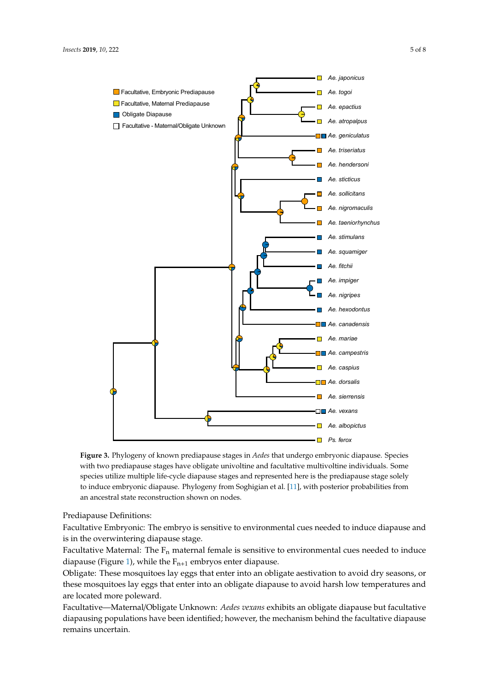<span id="page-4-0"></span>

with two prediapause stages have obligate univoltine and facultative multivoltine individuals. Some with two prediapause stages have obligate univoltine and facultative multivoltine individuals. Some<br>species utilize multiple life-cycle diapause stages and represented here is the prediapause stage solely to induce embryonic diapause. Phylogeny from Soghigian et al. [\[11\]](#page-6-8), with posterior probabilities from an ancestral state reconstruction shown on nodes. **Figure 3.** Phylogeny of known prediapause stages in *Aedes* that undergo embryonic diapause. Species

Prediapause Definitions:

Facultative Embryonic: The embryo is sensitive to environmental cues needed to induce diapause and is in the overwintering diapause stage.

Facultative Maternal: The  $F_n$  maternal female is sensitive to environmental cues needed to induce diapause (Figure 1), while the  $\mathrm{F_{n+1}}$  $\mathrm{F_{n+1}}$  $\mathrm{F_{n+1}}$  embryos enter diapause.

Obligate: These mosquitoes lay eggs that enter into an obligate aestivation to avoid dry seasons, or these mosquitoes lay eggs that enter into an obligate diapause to avoid harsh low temperatures and are located more poleward. The avoid hard hard hard hard hard hard hard are located more poleward.

Facultative—Maternal/Obligate Unknown: *Aedes vexans* exhibits an obligate diapause but facultative diapausing populations have been identified; however, the mechanism behind the facultative diapause  $\ddot{\theta}$  in populations have been identified; however, the facultative diaparty of  $\ddot{\theta}$ remains uncertain.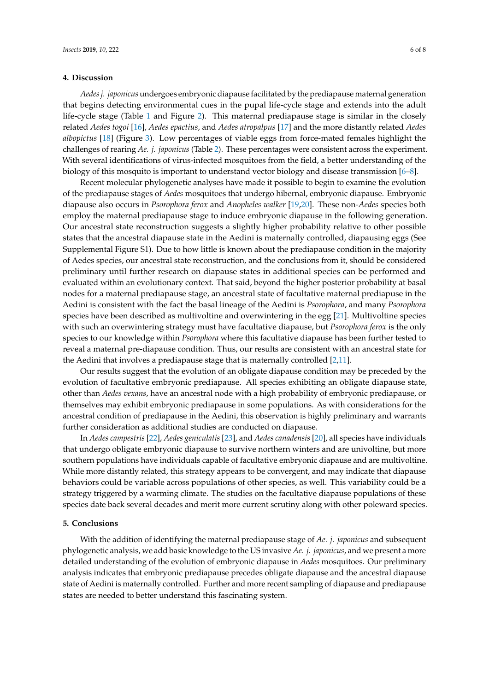#### **4. Discussion**

*Aedes j. japonicus* undergoes embryonic diapause facilitated by the prediapause maternal generation that begins detecting environmental cues in the pupal life-cycle stage and extends into the adult life-cycle stage (Table [1](#page-3-0) and Figure [2\)](#page-3-1). This maternal prediapause stage is similar in the closely related *Aedes togoi* [\[16\]](#page-6-13), *Aedes epactius*, and *Aedes atropalpus* [\[17\]](#page-6-14) and the more distantly related *Aedes albopictus* [\[18\]](#page-6-15) (Figure [3\)](#page-4-0). Low percentages of viable eggs from force-mated females highlight the challenges of rearing *Ae. j. japonicus* (Table [2\)](#page-3-2). These percentages were consistent across the experiment. With several identifications of virus-infected mosquitoes from the field, a better understanding of the biology of this mosquito is important to understand vector biology and disease transmission [\[6](#page-6-4)[–8\]](#page-6-5).

Recent molecular phylogenetic analyses have made it possible to begin to examine the evolution of the prediapause stages of *Aedes* mosquitoes that undergo hibernal, embryonic diapause. Embryonic diapause also occurs in *Psorophora ferox* and *Anopheles walker* [\[19,](#page-7-0)[20\]](#page-7-1). These non-*Aedes* species both employ the maternal prediapause stage to induce embryonic diapause in the following generation. Our ancestral state reconstruction suggests a slightly higher probability relative to other possible states that the ancestral diapause state in the Aedini is maternally controlled, diapausing eggs (See Supplemental Figure S1). Due to how little is known about the prediapause condition in the majority of Aedes species, our ancestral state reconstruction, and the conclusions from it, should be considered preliminary until further research on diapause states in additional species can be performed and evaluated within an evolutionary context. That said, beyond the higher posterior probability at basal nodes for a maternal prediapause stage, an ancestral state of facultative maternal prediapuse in the Aedini is consistent with the fact the basal lineage of the Aedini is *Psorophora*, and many *Psorophora* species have been described as multivoltine and overwintering in the egg [\[21\]](#page-7-2). Multivoltine species with such an overwintering strategy must have facultative diapause, but *Psorophora ferox* is the only species to our knowledge within *Psorophora* where this facultative diapause has been further tested to reveal a maternal pre-diapause condition. Thus, our results are consistent with an ancestral state for the Aedini that involves a prediapause stage that is maternally controlled [\[2,](#page-6-16)[11\]](#page-6-8).

Our results suggest that the evolution of an obligate diapause condition may be preceded by the evolution of facultative embryonic prediapause. All species exhibiting an obligate diapause state, other than *Aedes vexans*, have an ancestral node with a high probability of embryonic prediapause, or themselves may exhibit embryonic prediapause in some populations. As with considerations for the ancestral condition of prediapause in the Aedini, this observation is highly preliminary and warrants further consideration as additional studies are conducted on diapause.

In *Aedes campestris* [\[22\]](#page-7-3), *Aedes geniculatis* [\[23\]](#page-7-4), and *Aedes canadensis* [\[20\]](#page-7-1), all species have individuals that undergo obligate embryonic diapause to survive northern winters and are univoltine, but more southern populations have individuals capable of facultative embryonic diapause and are multivoltine. While more distantly related, this strategy appears to be convergent, and may indicate that diapause behaviors could be variable across populations of other species, as well. This variability could be a strategy triggered by a warming climate. The studies on the facultative diapause populations of these species date back several decades and merit more current scrutiny along with other poleward species.

#### **5. Conclusions**

With the addition of identifying the maternal prediapause stage of *Ae. j. japonicus* and subsequent phylogenetic analysis, we add basic knowledge to the US invasive *Ae. j. japonicus*, and we present a more detailed understanding of the evolution of embryonic diapause in *Aedes* mosquitoes. Our preliminary analysis indicates that embryonic prediapause precedes obligate diapause and the ancestral diapause state of Aedini is maternally controlled. Further and more recent sampling of diapause and prediapause states are needed to better understand this fascinating system.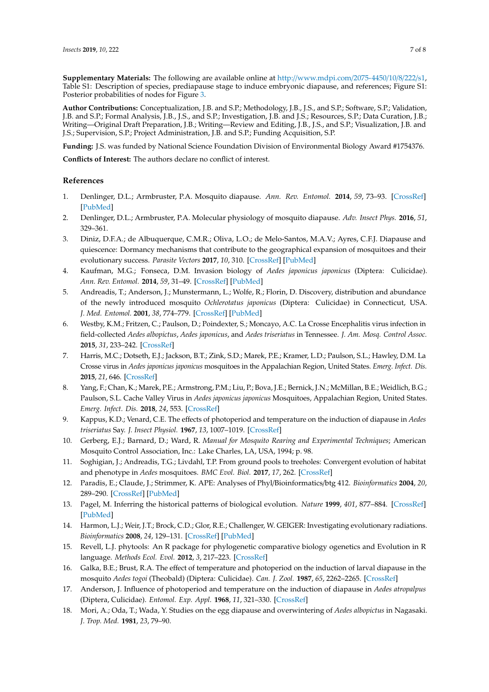**Supplementary Materials:** The following are available online at http://[www.mdpi.com](http://www.mdpi.com/2075-4450/10/8/222/s1)/2075-4450/10/8/222/s1, Table S1: Description of species, prediapause stage to induce embryonic diapause, and references; Figure S1: Posterior probabilities of nodes for Figure [3.](#page-4-0)

**Author Contributions:** Conceptualization, J.B. and S.P.; Methodology, J.B., J.S., and S.P.; Software, S.P.; Validation, J.B. and S.P.; Formal Analysis, J.B., J.S., and S.P.; Investigation, J.B. and J.S.; Resources, S.P.; Data Curation, J.B.; Writing—Original Draft Preparation, J.B.; Writing—Review and Editing, J.B., J.S., and S.P.; Visualization, J.B. and J.S.; Supervision, S.P.; Project Administration, J.B. and S.P.; Funding Acquisition, S.P.

**Funding:** J.S. was funded by National Science Foundation Division of Environmental Biology Award #1754376.

**Conflicts of Interest:** The authors declare no conflict of interest.

#### **References**

- <span id="page-6-0"></span>1. Denlinger, D.L.; Armbruster, P.A. Mosquito diapause. *Ann. Rev. Entomol.* **2014**, *59*, 73–93. [\[CrossRef\]](http://dx.doi.org/10.1146/annurev-ento-011613-162023) [\[PubMed\]](http://www.ncbi.nlm.nih.gov/pubmed/24160427)
- <span id="page-6-16"></span>2. Denlinger, D.L.; Armbruster, P.A. Molecular physiology of mosquito diapause. *Adv. Insect Phys.* **2016**, *51*, 329–361.
- <span id="page-6-1"></span>3. Diniz, D.F.A.; de Albuquerque, C.M.R.; Oliva, L.O.; de Melo-Santos, M.A.V.; Ayres, C.F.J. Diapause and quiescence: Dormancy mechanisms that contribute to the geographical expansion of mosquitoes and their evolutionary success. *Parasite Vectors* **2017**, *10*, 310. [\[CrossRef\]](http://dx.doi.org/10.1186/s13071-017-2235-0) [\[PubMed\]](http://www.ncbi.nlm.nih.gov/pubmed/28651558)
- <span id="page-6-2"></span>4. Kaufman, M.G.; Fonseca, D.M. Invasion biology of *Aedes japonicus japonicus* (Diptera: Culicidae). *Ann. Rev. Entomol.* **2014**, *59*, 31–49. [\[CrossRef\]](http://dx.doi.org/10.1146/annurev-ento-011613-162012) [\[PubMed\]](http://www.ncbi.nlm.nih.gov/pubmed/24397520)
- <span id="page-6-3"></span>5. Andreadis, T.; Anderson, J.; Munstermann, L.; Wolfe, R.; Florin, D. Discovery, distribution and abundance of the newly introduced mosquito *Ochlerotatus japonicus* (Diptera: Culicidae) in Connecticut, USA. *J. Med. Entomol.* **2001**, *38*, 774–779. [\[CrossRef\]](http://dx.doi.org/10.1603/0022-2585-38.6.774) [\[PubMed\]](http://www.ncbi.nlm.nih.gov/pubmed/11761373)
- <span id="page-6-4"></span>6. Westby, K.M.; Fritzen, C.; Paulson, D.; Poindexter, S.; Moncayo, A.C. La Crosse Encephalitis virus infection in field-collected *Aedes albopictus*, *Aedes japonicus*, and *Aedes triseriatus* in Tennessee. *J. Am. Mosq. Control Assoc.* **2015**, *31*, 233–242. [\[CrossRef\]](http://dx.doi.org/10.2987/moco-31-03-233-241.1)
- 7. Harris, M.C.; Dotseth, E.J.; Jackson, B.T.; Zink, S.D.; Marek, P.E.; Kramer, L.D.; Paulson, S.L.; Hawley, D.M. La Crosse virus in *Aedes japonicus japonicus* mosquitoes in the Appalachian Region, United States. *Emerg. Infect. Dis.* **2015**, *21*, 646. [\[CrossRef\]](http://dx.doi.org/10.3201/eid2104.140734)
- <span id="page-6-5"></span>8. Yang, F.; Chan, K.; Marek, P.E.; Armstrong, P.M.; Liu, P.; Bova, J.E.; Bernick, J.N.; McMillan, B.E.; Weidlich, B.G.; Paulson, S.L. Cache Valley Virus in *Aedes japonicus japonicus* Mosquitoes, Appalachian Region, United States. *Emerg. Infect. Dis.* **2018**, *24*, 553. [\[CrossRef\]](http://dx.doi.org/10.3201/eid2403.161275)
- <span id="page-6-6"></span>9. Kappus, K.D.; Venard, C.E. The effects of photoperiod and temperature on the induction of diapause in *Aedes triseriatus* Say. *J. Insect Physiol.* **1967**, *13*, 1007–1019. [\[CrossRef\]](http://dx.doi.org/10.1016/0022-1910(67)90103-5)
- <span id="page-6-7"></span>10. Gerberg, E.J.; Barnard, D.; Ward, R. *Manual for Mosquito Rearing and Experimental Techniques*; American Mosquito Control Association, Inc.: Lake Charles, LA, USA, 1994; p. 98.
- <span id="page-6-8"></span>11. Soghigian, J.; Andreadis, T.G.; Livdahl, T.P. From ground pools to treeholes: Convergent evolution of habitat and phenotype in *Aedes* mosquitoes. *BMC Evol. Biol.* **2017**, *17*, 262. [\[CrossRef\]](http://dx.doi.org/10.1186/s12862-017-1092-y)
- <span id="page-6-9"></span>12. Paradis, E.; Claude, J.; Strimmer, K. APE: Analyses of Phyl/Bioinformatics/btg 412. *Bioinformatics* **2004**, *20*, 289–290. [\[CrossRef\]](http://dx.doi.org/10.1093/bioinformatics/btg412) [\[PubMed\]](http://www.ncbi.nlm.nih.gov/pubmed/14734327)
- <span id="page-6-10"></span>13. Pagel, M. Inferring the historical patterns of biological evolution. *Nature* **1999**, *401*, 877–884. [\[CrossRef\]](http://dx.doi.org/10.1038/44766) [\[PubMed\]](http://www.ncbi.nlm.nih.gov/pubmed/10553904)
- <span id="page-6-11"></span>14. Harmon, L.J.; Weir, J.T.; Brock, C.D.; Glor, R.E.; Challenger, W. GEIGER: Investigating evolutionary radiations. *Bioinformatics* **2008**, *24*, 129–131. [\[CrossRef\]](http://dx.doi.org/10.1093/bioinformatics/btm538) [\[PubMed\]](http://www.ncbi.nlm.nih.gov/pubmed/18006550)
- <span id="page-6-12"></span>15. Revell, L.J. phytools: An R package for phylogenetic comparative biology ogenetics and Evolution in R language. *Methods Ecol. Evol.* **2012**, *3*, 217–223. [\[CrossRef\]](http://dx.doi.org/10.1111/j.2041-210X.2011.00169.x)
- <span id="page-6-13"></span>16. Galka, B.E.; Brust, R.A. The effect of temperature and photoperiod on the induction of larval diapause in the mosquito *Aedes togoi* (Theobald) (Diptera: Culicidae). *Can. J. Zool.* **1987**, *65*, 2262–2265. [\[CrossRef\]](http://dx.doi.org/10.1139/z87-341)
- <span id="page-6-14"></span>17. Anderson, J. Influence of photoperiod and temperature on the induction of diapause in *Aedes atropalpus* (Diptera, Culicidae). *Entomol. Exp. Appl.* **1968**, *11*, 321–330. [\[CrossRef\]](http://dx.doi.org/10.1111/j.1570-7458.1968.tb02061.x)
- <span id="page-6-15"></span>18. Mori, A.; Oda, T.; Wada, Y. Studies on the egg diapause and overwintering of *Aedes albopictus* in Nagasaki. *J. Trop. Med.* **1981**, *23*, 79–90.